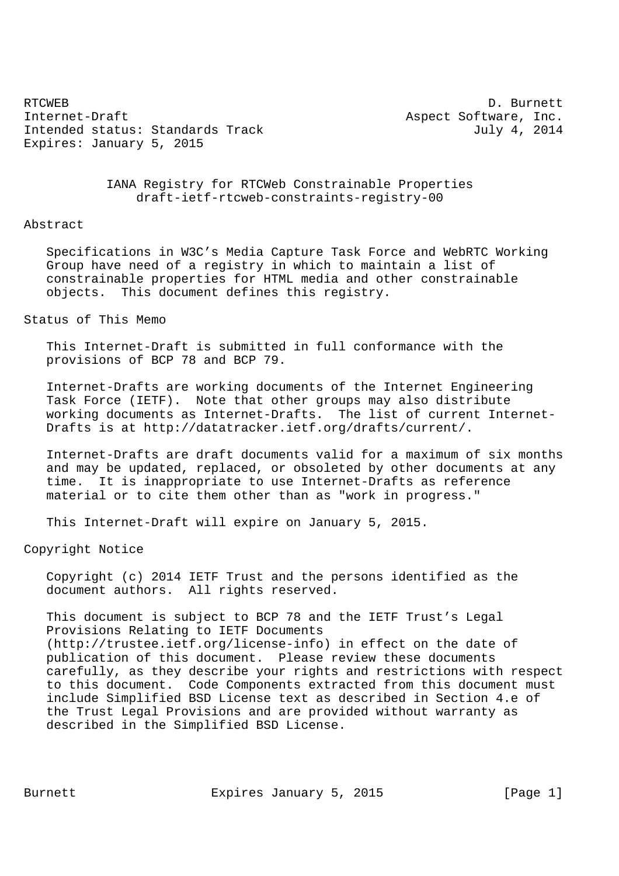RTCWEB D. Burnett Internet-Draft Aspect Software, Inc. Intended status: Standards Track July 4, 2014 Expires: January 5, 2015

 IANA Registry for RTCWeb Constrainable Properties draft-ietf-rtcweb-constraints-registry-00

#### Abstract

 Specifications in W3C's Media Capture Task Force and WebRTC Working Group have need of a registry in which to maintain a list of constrainable properties for HTML media and other constrainable objects. This document defines this registry.

# Status of This Memo

 This Internet-Draft is submitted in full conformance with the provisions of BCP 78 and BCP 79.

 Internet-Drafts are working documents of the Internet Engineering Task Force (IETF). Note that other groups may also distribute working documents as Internet-Drafts. The list of current Internet- Drafts is at http://datatracker.ietf.org/drafts/current/.

 Internet-Drafts are draft documents valid for a maximum of six months and may be updated, replaced, or obsoleted by other documents at any time. It is inappropriate to use Internet-Drafts as reference material or to cite them other than as "work in progress."

This Internet-Draft will expire on January 5, 2015.

## Copyright Notice

 Copyright (c) 2014 IETF Trust and the persons identified as the document authors. All rights reserved.

 This document is subject to BCP 78 and the IETF Trust's Legal Provisions Relating to IETF Documents (http://trustee.ietf.org/license-info) in effect on the date of publication of this document. Please review these documents carefully, as they describe your rights and restrictions with respect to this document. Code Components extracted from this document must include Simplified BSD License text as described in Section 4.e of the Trust Legal Provisions and are provided without warranty as described in the Simplified BSD License.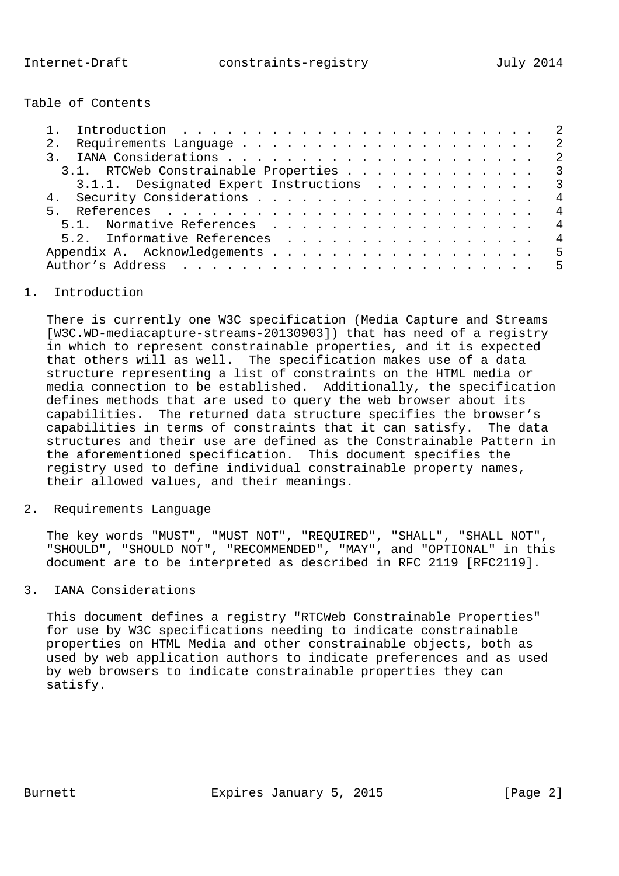Table of Contents

| 2.             |  |  |  |  |  |                                                                                                                                                                                   |
|----------------|--|--|--|--|--|-----------------------------------------------------------------------------------------------------------------------------------------------------------------------------------|
|                |  |  |  |  |  |                                                                                                                                                                                   |
|                |  |  |  |  |  |                                                                                                                                                                                   |
|                |  |  |  |  |  |                                                                                                                                                                                   |
|                |  |  |  |  |  | $\overline{4}$                                                                                                                                                                    |
| 5 <sub>1</sub> |  |  |  |  |  | $\overline{4}$                                                                                                                                                                    |
|                |  |  |  |  |  |                                                                                                                                                                                   |
|                |  |  |  |  |  | $\overline{4}$                                                                                                                                                                    |
|                |  |  |  |  |  |                                                                                                                                                                                   |
|                |  |  |  |  |  |                                                                                                                                                                                   |
|                |  |  |  |  |  | 3.1. RTCWeb Constrainable Properties 3<br>3.1.1. Designated Expert Instructions 3<br>5.1. Normative References 4<br>5.2. Informative References<br>Appendix A. Acknowledgements 5 |

# 1. Introduction

 There is currently one W3C specification (Media Capture and Streams [W3C.WD-mediacapture-streams-20130903]) that has need of a registry in which to represent constrainable properties, and it is expected that others will as well. The specification makes use of a data structure representing a list of constraints on the HTML media or media connection to be established. Additionally, the specification defines methods that are used to query the web browser about its capabilities. The returned data structure specifies the browser's capabilities in terms of constraints that it can satisfy. The data structures and their use are defined as the Constrainable Pattern in the aforementioned specification. This document specifies the registry used to define individual constrainable property names, their allowed values, and their meanings.

2. Requirements Language

 The key words "MUST", "MUST NOT", "REQUIRED", "SHALL", "SHALL NOT", "SHOULD", "SHOULD NOT", "RECOMMENDED", "MAY", and "OPTIONAL" in this document are to be interpreted as described in RFC 2119 [RFC2119].

# 3. IANA Considerations

 This document defines a registry "RTCWeb Constrainable Properties" for use by W3C specifications needing to indicate constrainable properties on HTML Media and other constrainable objects, both as used by web application authors to indicate preferences and as used by web browsers to indicate constrainable properties they can satisfy.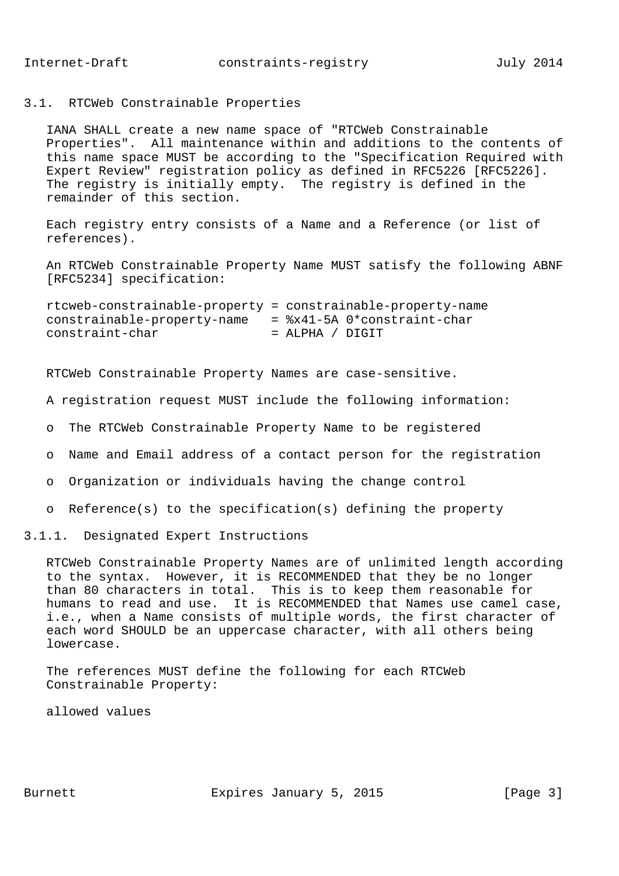### 3.1. RTCWeb Constrainable Properties

 IANA SHALL create a new name space of "RTCWeb Constrainable Properties". All maintenance within and additions to the contents of this name space MUST be according to the "Specification Required with Expert Review" registration policy as defined in RFC5226 [RFC5226]. The registry is initially empty. The registry is defined in the remainder of this section.

 Each registry entry consists of a Name and a Reference (or list of references).

 An RTCWeb Constrainable Property Name MUST satisfy the following ABNF [RFC5234] specification:

 rtcweb-constrainable-property = constrainable-property-name constrainable-property-name =  $8x41-5A$  0\*constraint-char constraint-char = ALPHA / DIGIT

RTCWeb Constrainable Property Names are case-sensitive.

A registration request MUST include the following information:

- o The RTCWeb Constrainable Property Name to be registered
- o Name and Email address of a contact person for the registration
- o Organization or individuals having the change control
- o Reference(s) to the specification(s) defining the property

3.1.1. Designated Expert Instructions

 RTCWeb Constrainable Property Names are of unlimited length according to the syntax. However, it is RECOMMENDED that they be no longer than 80 characters in total. This is to keep them reasonable for humans to read and use. It is RECOMMENDED that Names use camel case, i.e., when a Name consists of multiple words, the first character of each word SHOULD be an uppercase character, with all others being lowercase.

 The references MUST define the following for each RTCWeb Constrainable Property:

allowed values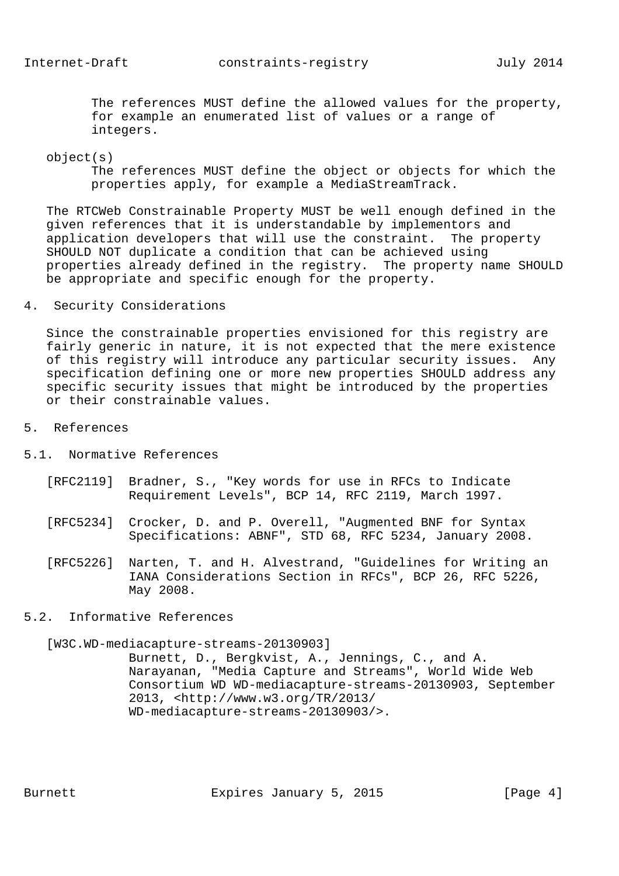The references MUST define the allowed values for the property, for example an enumerated list of values or a range of integers.

#### object(s)

 The references MUST define the object or objects for which the properties apply, for example a MediaStreamTrack.

 The RTCWeb Constrainable Property MUST be well enough defined in the given references that it is understandable by implementors and application developers that will use the constraint. The property SHOULD NOT duplicate a condition that can be achieved using properties already defined in the registry. The property name SHOULD be appropriate and specific enough for the property.

### 4. Security Considerations

 Since the constrainable properties envisioned for this registry are fairly generic in nature, it is not expected that the mere existence of this registry will introduce any particular security issues. Any specification defining one or more new properties SHOULD address any specific security issues that might be introduced by the properties or their constrainable values.

### 5. References

- 5.1. Normative References
	- [RFC2119] Bradner, S., "Key words for use in RFCs to Indicate Requirement Levels", BCP 14, RFC 2119, March 1997.
	- [RFC5234] Crocker, D. and P. Overell, "Augmented BNF for Syntax Specifications: ABNF", STD 68, RFC 5234, January 2008.
	- [RFC5226] Narten, T. and H. Alvestrand, "Guidelines for Writing an IANA Considerations Section in RFCs", BCP 26, RFC 5226, May 2008.
- 5.2. Informative References

#### [W3C.WD-mediacapture-streams-20130903]

 Burnett, D., Bergkvist, A., Jennings, C., and A. Narayanan, "Media Capture and Streams", World Wide Web Consortium WD WD-mediacapture-streams-20130903, September 2013, <http://www.w3.org/TR/2013/ WD-mediacapture-streams-20130903/>.